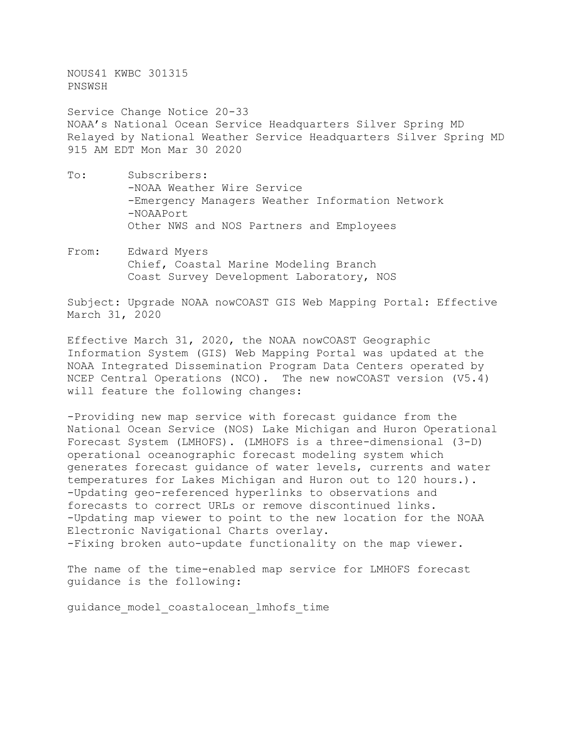NOUS41 KWBC 301315 PNSWSH

Service Change Notice 20-33 NOAA's National Ocean Service Headquarters Silver Spring MD Relayed by National Weather Service Headquarters Silver Spring MD 915 AM EDT Mon Mar 30 2020

- To: Subscribers: -NOAA Weather Wire Service -Emergency Managers Weather Information Network -NOAAPort Other NWS and NOS Partners and Employees
- From: Edward Myers Chief, Coastal Marine Modeling Branch Coast Survey Development Laboratory, NOS

Subject: Upgrade NOAA nowCOAST GIS Web Mapping Portal: Effective March 31, 2020

Effective March 31, 2020, the NOAA nowCOAST Geographic Information System (GIS) Web Mapping Portal was updated at the NOAA Integrated Dissemination Program Data Centers operated by NCEP Central Operations (NCO). The new nowCOAST version (V5.4) will feature the following changes:

-Providing new map service with forecast guidance from the National Ocean Service (NOS) Lake Michigan and Huron Operational Forecast System (LMHOFS). (LMHOFS is a three-dimensional (3-D) operational oceanographic forecast modeling system which generates forecast guidance of water levels, currents and water temperatures for Lakes Michigan and Huron out to 120 hours.). -Updating geo-referenced hyperlinks to observations and forecasts to correct URLs or remove discontinued links. -Updating map viewer to point to the new location for the NOAA Electronic Navigational Charts overlay. -Fixing broken auto-update functionality on the map viewer.

The name of the time-enabled map service for LMHOFS forecast guidance is the following:

guidance\_model\_coastalocean\_lmhofs\_time